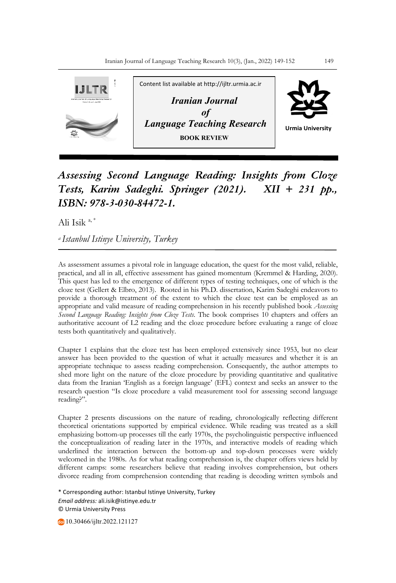

## *Assessing Second Language Reading: Insights from Cloze Tests, Karim Sadeghi. Springer (2021). XII + 231 pp., ISBN: 978-3-030-84472-1.*

Ali Isik $a^*$ 

*a Istanbul Istinye University, Turkey*

As assessment assumes a pivotal role in language education, the quest for the most valid, reliable, practical, and all in all, effective assessment has gained momentum (Kremmel & Harding, 2020). This quest has led to the emergence of different types of testing techniques, one of which is the cloze test (Gellert & Elbro, 2013). Rooted in his Ph.D. dissertation, Karim Sadeghi endeavors to provide a thorough treatment of the extent to which the cloze test can be employed as an appropriate and valid measure of reading comprehension in his recently published book *Assessing Second Language Reading: Insights from Cloze Tests*. The book comprises 10 chapters and offers an authoritative account of L2 reading and the cloze procedure before evaluating a range of cloze tests both quantitatively and qualitatively.

Chapter 1 explains that the cloze test has been employed extensively since 1953, but no clear answer has been provided to the question of what it actually measures and whether it is an appropriate technique to assess reading comprehension. Consequently, the author attempts to shed more light on the nature of the cloze procedure by providing quantitative and qualitative data from the Iranian 'English as a foreign language' (EFL) context and seeks an answer to the research question "Is cloze procedure a valid measurement tool for assessing second language reading?".

Chapter 2 presents discussions on the nature of reading, chronologically reflecting different theoretical orientations supported by empirical evidence. While reading was treated as a skill emphasizing bottom-up processes till the early 1970s, the psycholinguistic perspective influenced the conceptualization of reading later in the 1970s, and interactive models of reading which underlined the interaction between the bottom-up and top-down processes were widely welcomed in the 1980s. As for what reading comprehension is, the chapter offers views held by different camps: some researchers believe that reading involves comprehension, but others divorce reading from comprehension contending that reading is decoding written symbols and

\* Corresponding author: Istanbul Istinye University, Turkey *Email address:* ali.isik@istinye.edu.tr © Urmia University Press

10.30466/ijltr.2022.121127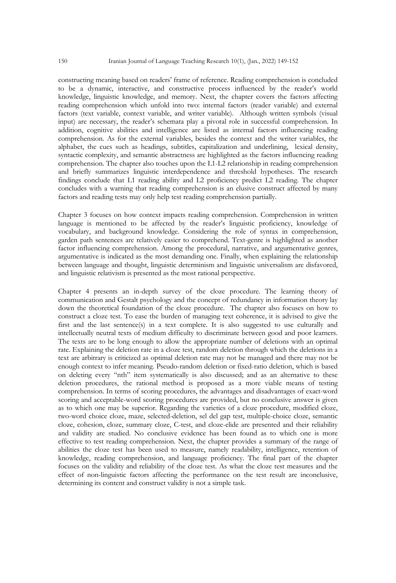constructing meaning based on readers' frame of reference. Reading comprehension is concluded to be a dynamic, interactive, and constructive process influenced by the reader's world knowledge, linguistic knowledge, and memory. Next, the chapter covers the factors affecting reading comprehension which unfold into two: internal factors (reader variable) and external factors (text variable, context variable, and writer variable). Although written symbols (visual input) are necessary, the reader's schemata play a pivotal role in successful comprehension. In addition, cognitive abilities and intelligence are listed as internal factors influencing reading comprehension. As for the external variables, besides the context and the writer variables, the alphabet, the cues such as headings, subtitles, capitalization and underlining, lexical density, syntactic complexity, and semantic abstractness are highlighted as the factors influencing reading comprehension. The chapter also touches upon the L1-L2 relationship in reading comprehension and briefly summarizes linguistic interdependence and threshold hypotheses. The research findings conclude that L1 reading ability and L2 proficiency predict L2 reading. The chapter concludes with a warning that reading comprehension is an elusive construct affected by many factors and reading tests may only help test reading comprehension partially.

Chapter 3 focuses on how context impacts reading comprehension. Comprehension in written language is mentioned to be affected by the reader's linguistic proficiency, knowledge of vocabulary, and background knowledge. Considering the role of syntax in comprehension, garden path sentences are relatively easier to comprehend. Text-genre is highlighted as another factor influencing comprehension. Among the procedural, narrative, and argumentative genres, argumentative is indicated as the most demanding one. Finally, when explaining the relationship between language and thought, linguistic determinism and linguistic universalism are disfavored, and linguistic relativism is presented as the most rational perspective.

Chapter 4 presents an in-depth survey of the cloze procedure. The learning theory of communication and Gestalt psychology and the concept of redundancy in information theory lay down the theoretical foundation of the cloze procedure. The chapter also focuses on how to construct a cloze test. To ease the burden of managing text coherence, it is advised to give the first and the last sentence(s) in a text complete. It is also suggested to use culturally and intellectually neutral texts of medium difficulty to discriminate between good and poor learners. The texts are to be long enough to allow the appropriate number of deletions with an optimal rate. Explaining the deletion rate in a cloze test, random deletion through which the deletions in a text are arbitrary is criticized as optimal deletion rate may not be managed and there may not be enough context to infer meaning. Pseudo-random deletion or fixed-ratio deletion, which is based on deleting every "nth" item systematically is also discussed; and as an alternative to these deletion procedures, the rational method is proposed as a more viable means of testing comprehension. In terms of scoring procedures, the advantages and disadvantages of exact-word scoring and acceptable-word scoring procedures are provided, but no conclusive answer is given as to which one may be superior. Regarding the varieties of a cloze procedure, modified cloze, two-word choice cloze, maze, selected-deletion, sel del gap test, multiple-choice cloze, semantic cloze, cohesion, cloze, summary cloze, C-test, and cloze-elide are presented and their reliability and validity are studied. No conclusive evidence has been found as to which one is more effective to test reading comprehension. Next, the chapter provides a summary of the range of abilities the cloze test has been used to measure, namely readability, intelligence, retention of knowledge, reading comprehension, and language proficiency. The final part of the chapter focuses on the validity and reliability of the cloze test. As what the cloze test measures and the effect of non-linguistic factors affecting the performance on the test result are inconclusive, determining its content and construct validity is not a simple task.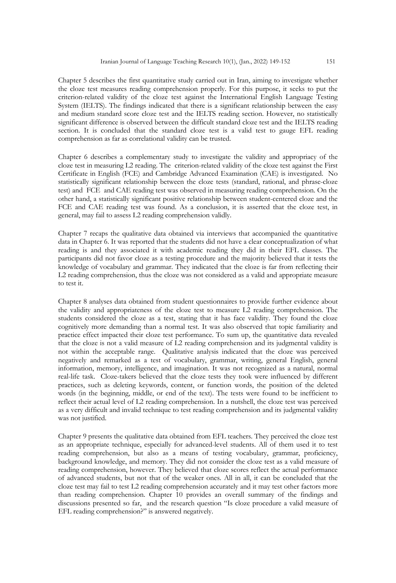Chapter 5 describes the first quantitative study carried out in Iran, aiming to investigate whether the cloze test measures reading comprehension properly. For this purpose, it seeks to put the criterion-related validity of the cloze test against the International English Language Testing System (IELTS). The findings indicated that there is a significant relationship between the easy and medium standard score cloze test and the IELTS reading section. However, no statistically significant difference is observed between the difficult standard cloze test and the IELTS reading section. It is concluded that the standard cloze test is a valid test to gauge EFL reading comprehension as far as correlational validity can be trusted.

Chapter 6 describes a complementary study to investigate the validity and appropriacy of the cloze test in measuring L2 reading. The criterion-related validity of the cloze test against the First Certificate in English (FCE) and Cambridge Advanced Examination (CAE) is investigated. No statistically significant relationship between the cloze tests (standard, rational, and phrase-cloze test) and FCE and CAE reading test was observed in measuring reading comprehension. On the other hand, a statistically significant positive relationship between student-centered cloze and the FCE and CAE reading test was found. As a conclusion, it is asserted that the cloze test, in general, may fail to assess L2 reading comprehension validly.

Chapter 7 recaps the qualitative data obtained via interviews that accompanied the quantitative data in Chapter 6. It was reported that the students did not have a clear conceptualization of what reading is and they associated it with academic reading they did in their EFL classes. The participants did not favor cloze as a testing procedure and the majority believed that it tests the knowledge of vocabulary and grammar. They indicated that the cloze is far from reflecting their L2 reading comprehension, thus the cloze was not considered as a valid and appropriate measure to test it.

Chapter 8 analyses data obtained from student questionnaires to provide further evidence about the validity and appropriateness of the cloze test to measure L2 reading comprehension. The students considered the cloze as a test, stating that it has face validity. They found the cloze cognitively more demanding than a normal test. It was also observed that topic familiarity and practice effect impacted their cloze test performance. To sum up, the quantitative data revealed that the cloze is not a valid measure of L2 reading comprehension and its judgmental validity is not within the acceptable range. Qualitative analysis indicated that the cloze was perceived negatively and remarked as a test of vocabulary, grammar, writing, general English, general information, memory, intelligence, and imagination. It was not recognized as a natural, normal real-life task. Cloze-takers believed that the cloze tests they took were influenced by different practices, such as deleting keywords, content, or function words, the position of the deleted words (in the beginning, middle, or end of the text). The tests were found to be inefficient to reflect their actual level of L2 reading comprehension. In a nutshell, the cloze test was perceived as a very difficult and invalid technique to test reading comprehension and its judgmental validity was not justified.

Chapter 9 presents the qualitative data obtained from EFL teachers. They perceived the cloze test as an appropriate technique, especially for advanced-level students. All of them used it to test reading comprehension, but also as a means of testing vocabulary, grammar, proficiency, background knowledge, and memory. They did not consider the cloze test as a valid measure of reading comprehension, however. They believed that cloze scores reflect the actual performance of advanced students, but not that of the weaker ones. All in all, it can be concluded that the cloze test may fail to test L2 reading comprehension accurately and it may test other factors more than reading comprehension. Chapter 10 provides an overall summary of the findings and discussions presented so far, and the research question "Is cloze procedure a valid measure of EFL reading comprehension?" is answered negatively.